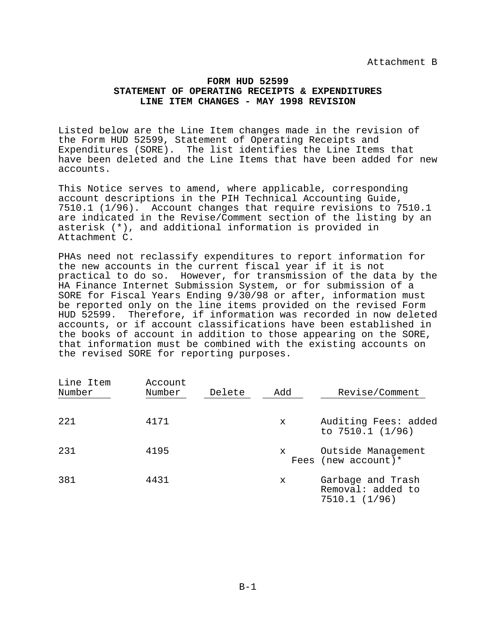## **FORM HUD 52599 STATEMENT OF OPERATING RECEIPTS & EXPENDITURES LINE ITEM CHANGES - MAY 1998 REVISION**

Listed below are the Line Item changes made in the revision of the Form HUD 52599, Statement of Operating Receipts and Expenditures (SORE). The list identifies the Line Items that have been deleted and the Line Items that have been added for new accounts.

This Notice serves to amend, where applicable, corresponding account descriptions in the PIH Technical Accounting Guide, 7510.1 (1/96). Account changes that require revisions to 7510.1 are indicated in the Revise/Comment section of the listing by an asterisk (\*), and additional information is provided in Attachment C.

PHAs need not reclassify expenditures to report information for the new accounts in the current fiscal year if it is not practical to do so. However, for transmission of the data by the HA Finance Internet Submission System, or for submission of a SORE for Fiscal Years Ending 9/30/98 or after, information must be reported only on the line items provided on the revised Form HUD 52599. Therefore, if information was recorded in now deleted accounts, or if account classifications have been established in the books of account in addition to those appearing on the SORE, that information must be combined with the existing accounts on the revised SORE for reporting purposes.

| Line Item<br>Number | Account<br>Number | Delete | Add | Revise/Comment                                          |
|---------------------|-------------------|--------|-----|---------------------------------------------------------|
| 221                 | 4171              |        | X   | Auditing Fees: added<br>to $7510.1$ (1/96)              |
| 231                 | 4195              |        | x   | Outside Management<br>Fees (new account)*               |
| 381                 | 4431              |        | x   | Garbage and Trash<br>Removal: added to<br>7510.1 (1/96) |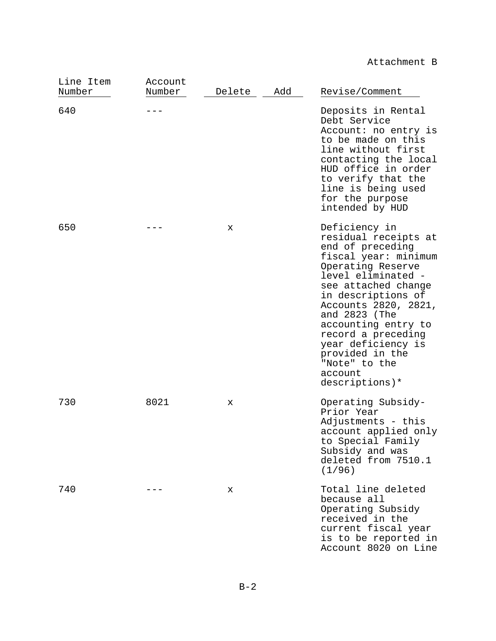## Attachment B

| Line Item | Account |        |     |                                                                                                                                                                                                                                                                                                                                                        |  |  |  |
|-----------|---------|--------|-----|--------------------------------------------------------------------------------------------------------------------------------------------------------------------------------------------------------------------------------------------------------------------------------------------------------------------------------------------------------|--|--|--|
| Number    | Number  | Delete | Add | Revise/Comment                                                                                                                                                                                                                                                                                                                                         |  |  |  |
| 640       |         |        |     | Deposits in Rental<br>Debt Service<br>Account: no entry is<br>to be made on this<br>line without first<br>contacting the local<br>HUD office in order<br>to verify that the<br>line is being used<br>for the purpose<br>intended by HUD                                                                                                                |  |  |  |
| 650       |         | х      |     | Deficiency in<br>residual receipts at<br>end of preceding<br>fiscal year: minimum<br>Operating Reserve<br>level eliminated -<br>see attached change<br>in descriptions of<br>Accounts 2820, 2821,<br>and 2823 (The<br>accounting entry to<br>record a preceding<br>year deficiency is<br>provided in the<br>"Note" to the<br>account<br>descriptions)* |  |  |  |
| 730       | 8021    | х      |     | Operating Subsidy-<br>Prior Year<br>Adjustments - this<br>account applied only<br>to Special Family<br>Subsidy and was<br>deleted from 7510.1<br>(1/96)                                                                                                                                                                                                |  |  |  |
| 740       |         | х      |     | Total line deleted<br>because all<br>Operating Subsidy<br>received in the<br>current fiscal year<br>is to be reported in<br>Account 8020 on Line                                                                                                                                                                                                       |  |  |  |